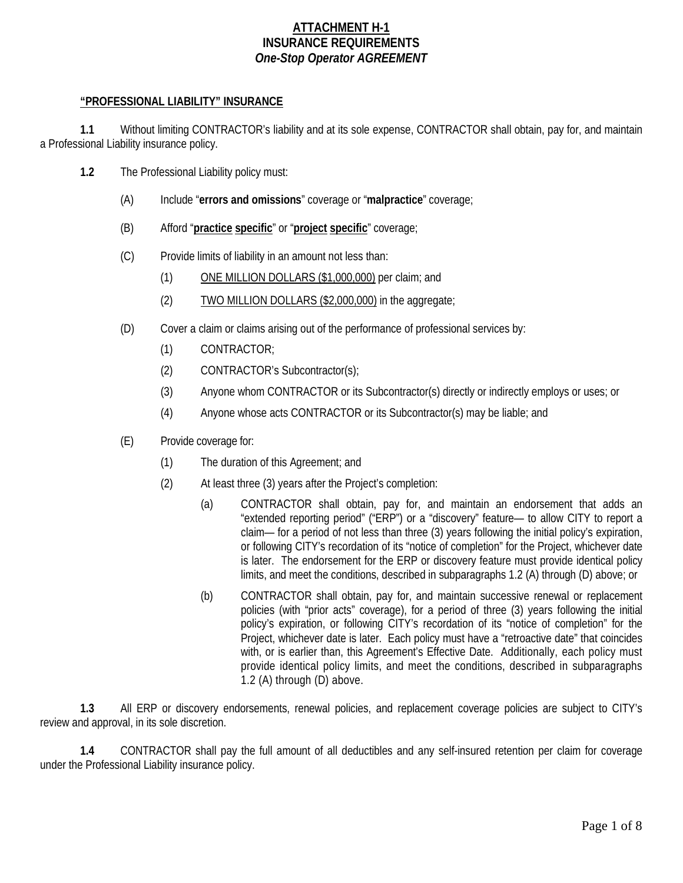## **ATTACHMENT H-1 INSURANCE REQUIREMENTS** *One-Stop Operator AGREEMENT*

### **"PROFESSIONAL LIABILITY" INSURANCE**

**1.1** Without limiting CONTRACTOR's liability and at its sole expense, CONTRACTOR shall obtain, pay for, and maintain a Professional Liability insurance policy.

- **1.2** The Professional Liability policy must:
	- (A) Include "**errors and omissions**" coverage or "**malpractice**" coverage;
	- (B) Afford "**practice specific**" or "**project specific**" coverage;
	- (C) Provide limits of liability in an amount not less than:
		- (1) ONE MILLION DOLLARS (\$1,000,000) per claim; and
		- (2) TWO MILLION DOLLARS (\$2,000,000) in the aggregate;
	- (D) Cover a claim or claims arising out of the performance of professional services by:
		- (1) CONTRACTOR;
		- (2) CONTRACTOR's Subcontractor(s);
		- (3) Anyone whom CONTRACTOR or its Subcontractor(s) directly or indirectly employs or uses; or
		- (4) Anyone whose acts CONTRACTOR or its Subcontractor(s) may be liable; and
	- (E) Provide coverage for:
		- (1) The duration of this Agreement; and
		- (2) At least three (3) years after the Project's completion:
			- (a) CONTRACTOR shall obtain, pay for, and maintain an endorsement that adds an "extended reporting period" ("ERP") or a "discovery" feature— to allow CITY to report a claim— for a period of not less than three (3) years following the initial policy's expiration, or following CITY's recordation of its "notice of completion" for the Project, whichever date is later. The endorsement for the ERP or discovery feature must provide identical policy limits, and meet the conditions, described in subparagraphs 1.2 (A) through (D) above; or
			- (b) CONTRACTOR shall obtain, pay for, and maintain successive renewal or replacement policies (with "prior acts" coverage), for a period of three (3) years following the initial policy's expiration, or following CITY's recordation of its "notice of completion" for the Project, whichever date is later. Each policy must have a "retroactive date" that coincides with, or is earlier than, this Agreement's Effective Date. Additionally, each policy must provide identical policy limits, and meet the conditions, described in subparagraphs 1.2 (A) through (D) above.

**1.3** All ERP or discovery endorsements, renewal policies, and replacement coverage policies are subject to CITY's review and approval, in its sole discretion.

**1.4** CONTRACTOR shall pay the full amount of all deductibles and any self-insured retention per claim for coverage under the Professional Liability insurance policy.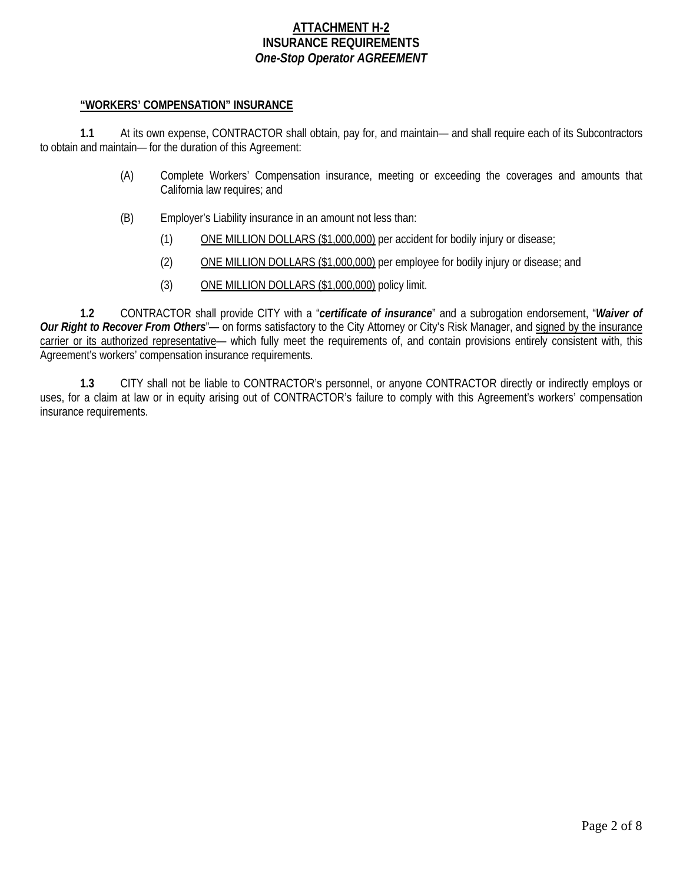## **ATTACHMENT H-2 INSURANCE REQUIREMENTS** *One-Stop Operator AGREEMENT*

#### **"WORKERS' COMPENSATION" INSURANCE**

**1.1** At its own expense, CONTRACTOR shall obtain, pay for, and maintain— and shall require each of its Subcontractors to obtain and maintain— for the duration of this Agreement:

- (A) Complete Workers' Compensation insurance, meeting or exceeding the coverages and amounts that California law requires; and
- (B) Employer's Liability insurance in an amount not less than:
	- (1) ONE MILLION DOLLARS (\$1,000,000) per accident for bodily injury or disease;
	- (2) ONE MILLION DOLLARS (\$1,000,000) per employee for bodily injury or disease; and
	- (3) ONE MILLION DOLLARS (\$1,000,000) policy limit.

**1.2** CONTRACTOR shall provide CITY with a "*certificate of insurance*" and a subrogation endorsement, "*Waiver of*  **Our Right to Recover From Others**"— on forms satisfactory to the City Attorney or City's Risk Manager, and signed by the insurance carrier or its authorized representative— which fully meet the requirements of, and contain provisions entirely consistent with, this Agreement's workers' compensation insurance requirements.

**1.3** CITY shall not be liable to CONTRACTOR's personnel, or anyone CONTRACTOR directly or indirectly employs or uses, for a claim at law or in equity arising out of CONTRACTOR's failure to comply with this Agreement's workers' compensation insurance requirements.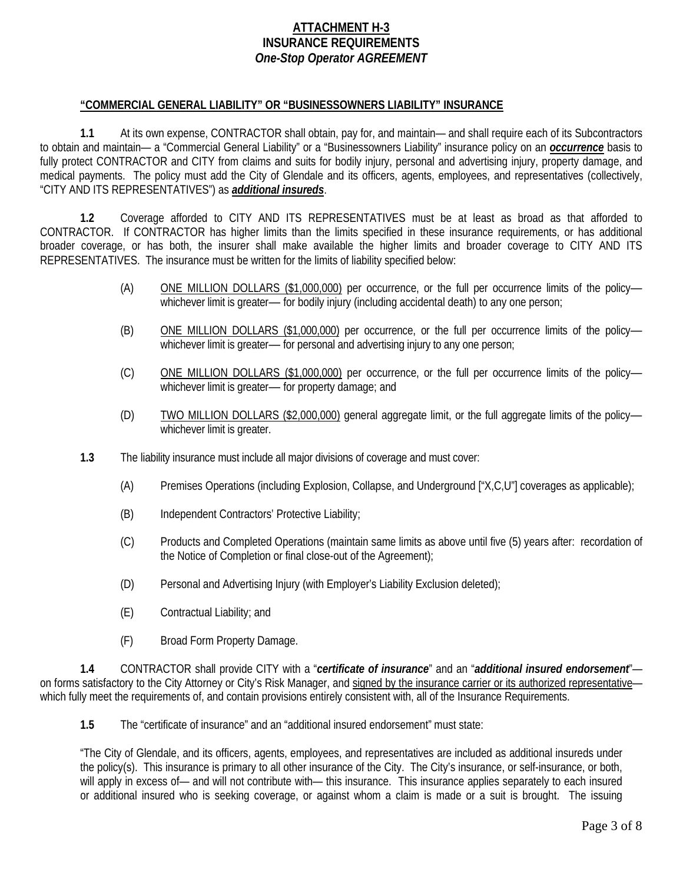## **ATTACHMENT H-3 INSURANCE REQUIREMENTS** *One-Stop Operator AGREEMENT*

#### **"COMMERCIAL GENERAL LIABILITY" OR "BUSINESSOWNERS LIABILITY" INSURANCE**

**1.1** At its own expense, CONTRACTOR shall obtain, pay for, and maintain— and shall require each of its Subcontractors to obtain and maintain— a "Commercial General Liability" or a "Businessowners Liability" insurance policy on an *occurrence* basis to fully protect CONTRACTOR and CITY from claims and suits for bodily injury, personal and advertising injury, property damage, and medical payments. The policy must add the City of Glendale and its officers, agents, employees, and representatives (collectively, "CITY AND ITS REPRESENTATIVES") as *additional insureds*.

**1.2** Coverage afforded to CITY AND ITS REPRESENTATIVES must be at least as broad as that afforded to CONTRACTOR. If CONTRACTOR has higher limits than the limits specified in these insurance requirements, or has additional broader coverage, or has both, the insurer shall make available the higher limits and broader coverage to CITY AND ITS REPRESENTATIVES. The insurance must be written for the limits of liability specified below:

- (A) ONE MILLION DOLLARS (\$1,000,000) per occurrence, or the full per occurrence limits of the policy― whichever limit is greater— for bodily injury (including accidental death) to any one person;
- (B) ONE MILLION DOLLARS (\$1,000,000) per occurrence, or the full per occurrence limits of the policywhichever limit is greater— for personal and advertising injury to any one person;
- (C) ONE MILLION DOLLARS (\$1,000,000) per occurrence, or the full per occurrence limits of the policy― whichever limit is greater— for property damage; and
- (D) TWO MILLION DOLLARS (\$2,000,000) general aggregate limit, or the full aggregate limits of the policy― whichever limit is greater.
- **1.3** The liability insurance must include all major divisions of coverage and must cover:
	- (A) Premises Operations (including Explosion, Collapse, and Underground ["X,C,U"] coverages as applicable);
	- (B) Independent Contractors' Protective Liability;
	- (C) Products and Completed Operations (maintain same limits as above until five (5) years after: recordation of the Notice of Completion or final close-out of the Agreement);
	- (D) Personal and Advertising Injury (with Employer's Liability Exclusion deleted);
	- (E) Contractual Liability; and
	- (F) Broad Form Property Damage.

**1.4** CONTRACTOR shall provide CITY with a "*certificate of insurance*" and an "*additional insured endorsement*" on forms satisfactory to the City Attorney or City's Risk Manager, and signed by the insurance carrier or its authorized representative which fully meet the requirements of, and contain provisions entirely consistent with, all of the Insurance Requirements.

**1.5** The "certificate of insurance" and an "additional insured endorsement" must state:

"The City of Glendale, and its officers, agents, employees, and representatives are included as additional insureds under the policy(s). This insurance is primary to all other insurance of the City. The City's insurance, or self-insurance, or both, will apply in excess of— and will not contribute with— this insurance. This insurance applies separately to each insured or additional insured who is seeking coverage, or against whom a claim is made or a suit is brought. The issuing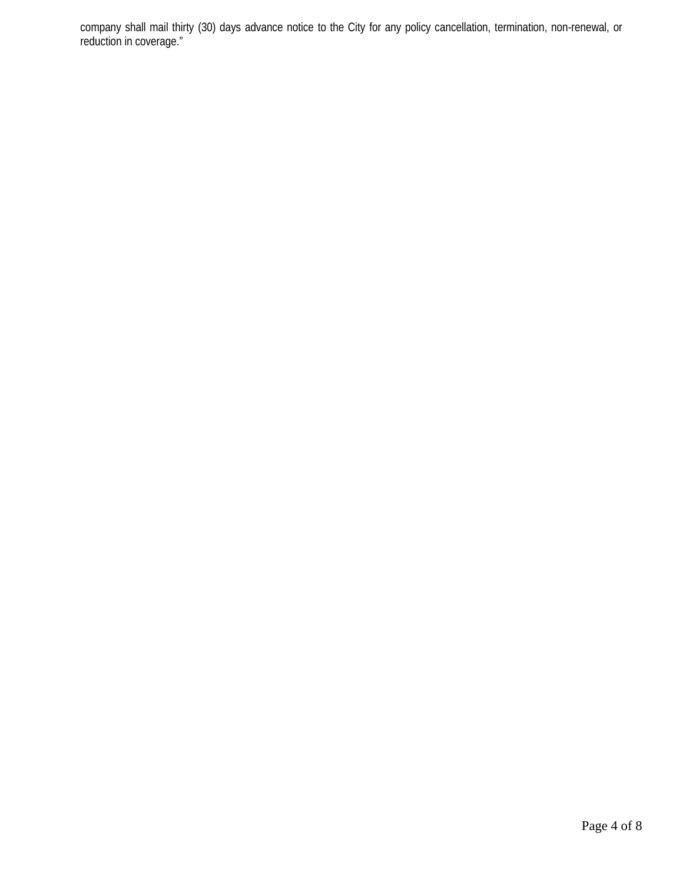company shall mail thirty (30) days advance notice to the City for any policy cancellation, termination, non-renewal, or reduction in coverage."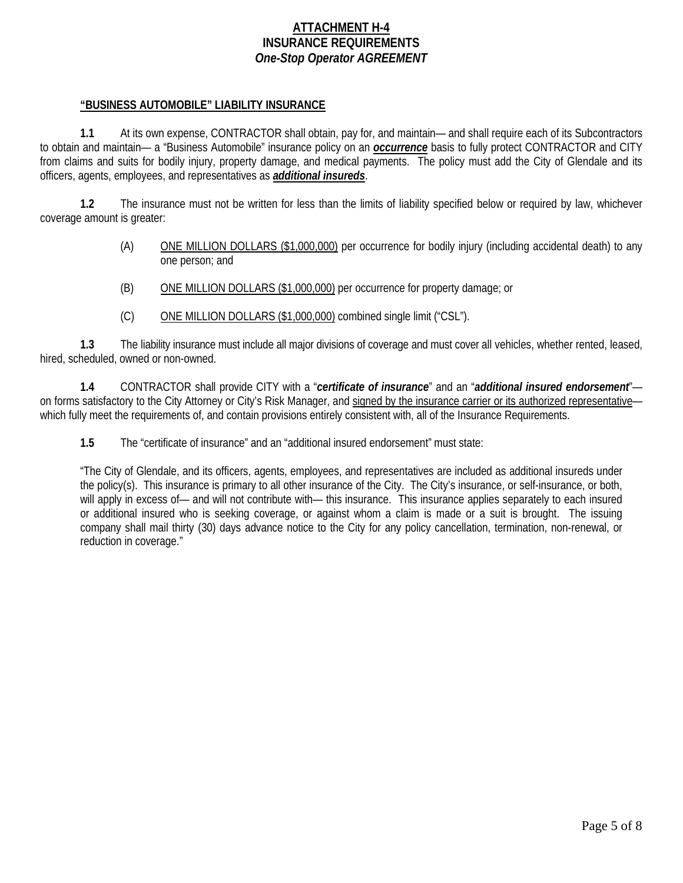## **ATTACHMENT H-4 INSURANCE REQUIREMENTS** *One-Stop Operator AGREEMENT*

### **"BUSINESS AUTOMOBILE" LIABILITY INSURANCE**

**1.1** At its own expense, CONTRACTOR shall obtain, pay for, and maintain— and shall require each of its Subcontractors to obtain and maintain— a "Business Automobile" insurance policy on an *occurrence* basis to fully protect CONTRACTOR and CITY from claims and suits for bodily injury, property damage, and medical payments. The policy must add the City of Glendale and its officers, agents, employees, and representatives as *additional insureds*.

**1.2** The insurance must not be written for less than the limits of liability specified below or required by law, whichever coverage amount is greater:

- (A) ONE MILLION DOLLARS (\$1,000,000) per occurrence for bodily injury (including accidental death) to any one person; and
- (B) ONE MILLION DOLLARS (\$1,000,000) per occurrence for property damage; or
- (C) ONE MILLION DOLLARS (\$1,000,000) combined single limit ("CSL").

**1.3** The liability insurance must include all major divisions of coverage and must cover all vehicles, whether rented, leased, hired, scheduled, owned or non-owned.

**1.4** CONTRACTOR shall provide CITY with a "*certificate of insurance*" and an "*additional insured endorsement*" on forms satisfactory to the City Attorney or City's Risk Manager, and signed by the insurance carrier or its authorized representative which fully meet the requirements of, and contain provisions entirely consistent with, all of the Insurance Requirements.

**1.5** The "certificate of insurance" and an "additional insured endorsement" must state:

"The City of Glendale, and its officers, agents, employees, and representatives are included as additional insureds under the policy(s). This insurance is primary to all other insurance of the City. The City's insurance, or self-insurance, or both, will apply in excess of— and will not contribute with— this insurance. This insurance applies separately to each insured or additional insured who is seeking coverage, or against whom a claim is made or a suit is brought. The issuing company shall mail thirty (30) days advance notice to the City for any policy cancellation, termination, non-renewal, or reduction in coverage."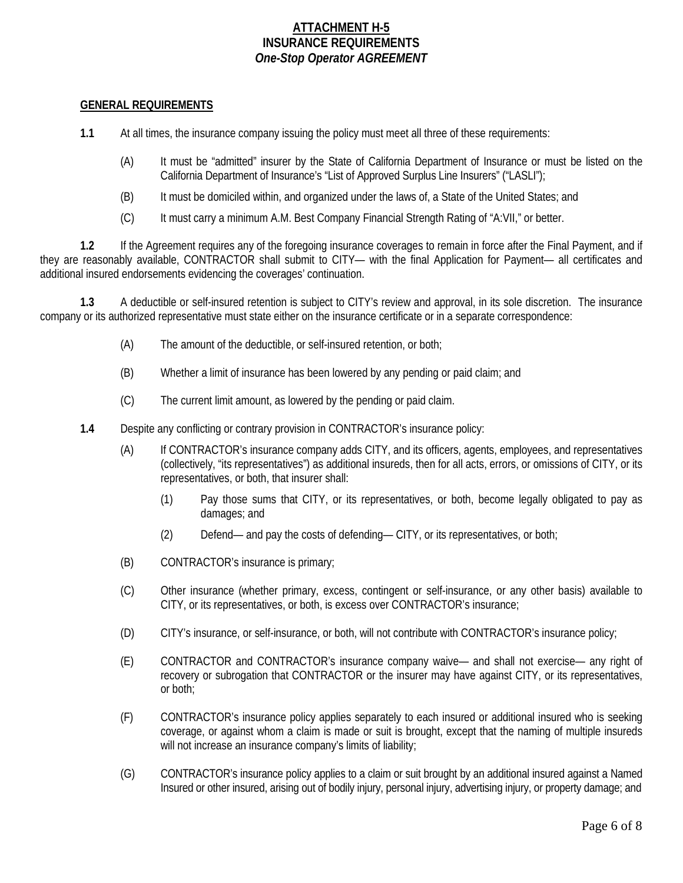# **ATTACHMENT H-5 INSURANCE REQUIREMENTS** *One-Stop Operator AGREEMENT*

### **GENERAL REQUIREMENTS**

**1.1** At all times, the insurance company issuing the policy must meet all three of these requirements:

- (A) It must be "admitted" insurer by the State of California Department of Insurance or must be listed on the California Department of Insurance's "List of Approved Surplus Line Insurers" ("LASLI");
- (B) It must be domiciled within, and organized under the laws of, a State of the United States; and
- (C) It must carry a minimum A.M. Best Company Financial Strength Rating of "A:VII," or better.

**1.2** If the Agreement requires any of the foregoing insurance coverages to remain in force after the Final Payment, and if they are reasonably available, CONTRACTOR shall submit to CITY— with the final Application for Payment— all certificates and additional insured endorsements evidencing the coverages' continuation.

**1.3** A deductible or self-insured retention is subject to CITY's review and approval, in its sole discretion. The insurance company or its authorized representative must state either on the insurance certificate or in a separate correspondence:

- (A) The amount of the deductible, or self-insured retention, or both;
- (B) Whether a limit of insurance has been lowered by any pending or paid claim; and
- (C) The current limit amount, as lowered by the pending or paid claim.
- **1.4** Despite any conflicting or contrary provision in CONTRACTOR's insurance policy:
	- (A) If CONTRACTOR's insurance company adds CITY, and its officers, agents, employees, and representatives (collectively, "its representatives") as additional insureds, then for all acts, errors, or omissions of CITY, or its representatives, or both, that insurer shall:
		- (1) Pay those sums that CITY, or its representatives, or both, become legally obligated to pay as damages; and
		- (2) Defend— and pay the costs of defending— CITY, or its representatives, or both;
	- (B) CONTRACTOR's insurance is primary;
	- (C) Other insurance (whether primary, excess, contingent or self-insurance, or any other basis) available to CITY, or its representatives, or both, is excess over CONTRACTOR's insurance;
	- (D) CITY's insurance, or self-insurance, or both, will not contribute with CONTRACTOR's insurance policy;
	- (E) CONTRACTOR and CONTRACTOR's insurance company waive— and shall not exercise— any right of recovery or subrogation that CONTRACTOR or the insurer may have against CITY, or its representatives, or both;
	- (F) CONTRACTOR's insurance policy applies separately to each insured or additional insured who is seeking coverage, or against whom a claim is made or suit is brought, except that the naming of multiple insureds will not increase an insurance company's limits of liability;
	- (G) CONTRACTOR's insurance policy applies to a claim or suit brought by an additional insured against a Named Insured or other insured, arising out of bodily injury, personal injury, advertising injury, or property damage; and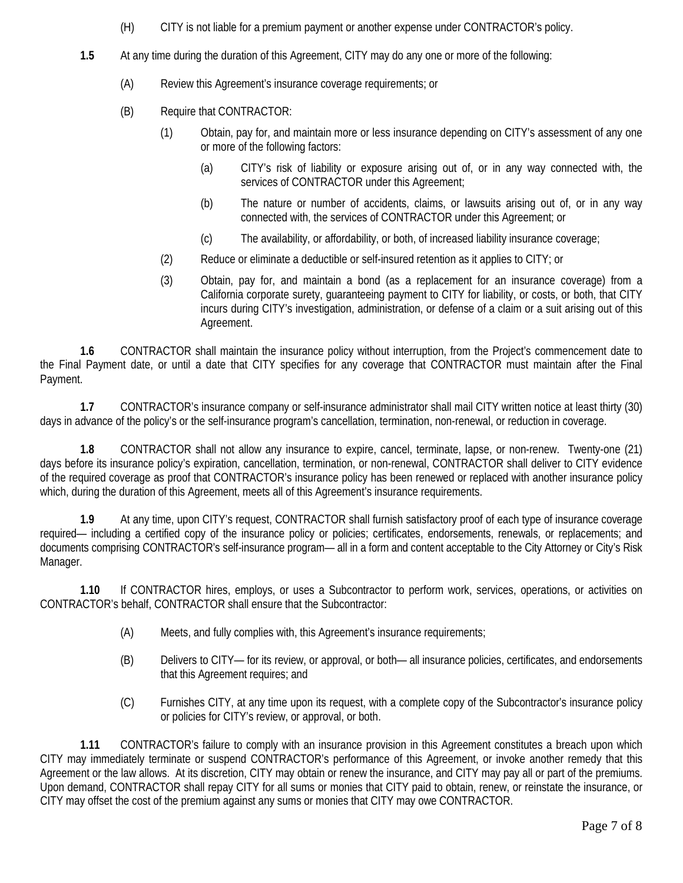- (H) CITY is not liable for a premium payment or another expense under CONTRACTOR's policy.
- **1.5** At any time during the duration of this Agreement, CITY may do any one or more of the following:
	- (A) Review this Agreement's insurance coverage requirements; or
	- (B) Require that CONTRACTOR:
		- (1) Obtain, pay for, and maintain more or less insurance depending on CITY's assessment of any one or more of the following factors:
			- (a) CITY's risk of liability or exposure arising out of, or in any way connected with, the services of CONTRACTOR under this Agreement;
			- (b) The nature or number of accidents, claims, or lawsuits arising out of, or in any way connected with, the services of CONTRACTOR under this Agreement; or
			- (c) The availability, or affordability, or both, of increased liability insurance coverage;
		- (2) Reduce or eliminate a deductible or self-insured retention as it applies to CITY; or
		- (3) Obtain, pay for, and maintain a bond (as a replacement for an insurance coverage) from a California corporate surety, guaranteeing payment to CITY for liability, or costs, or both, that CITY incurs during CITY's investigation, administration, or defense of a claim or a suit arising out of this Agreement.

**1.6** CONTRACTOR shall maintain the insurance policy without interruption, from the Project's commencement date to the Final Payment date, or until a date that CITY specifies for any coverage that CONTRACTOR must maintain after the Final Payment.

**1.7** CONTRACTOR's insurance company or self-insurance administrator shall mail CITY written notice at least thirty (30) days in advance of the policy's or the self-insurance program's cancellation, termination, non-renewal, or reduction in coverage.

**1.8** CONTRACTOR shall not allow any insurance to expire, cancel, terminate, lapse, or non-renew. Twenty-one (21) days before its insurance policy's expiration, cancellation, termination, or non-renewal, CONTRACTOR shall deliver to CITY evidence of the required coverage as proof that CONTRACTOR's insurance policy has been renewed or replaced with another insurance policy which, during the duration of this Agreement, meets all of this Agreement's insurance requirements.

**1.9** At any time, upon CITY's request, CONTRACTOR shall furnish satisfactory proof of each type of insurance coverage required— including a certified copy of the insurance policy or policies; certificates, endorsements, renewals, or replacements; and documents comprising CONTRACTOR's self-insurance program— all in a form and content acceptable to the City Attorney or City's Risk Manager.

**1.10** If CONTRACTOR hires, employs, or uses a Subcontractor to perform work, services, operations, or activities on CONTRACTOR's behalf, CONTRACTOR shall ensure that the Subcontractor:

- (A) Meets, and fully complies with, this Agreement's insurance requirements;
- (B) Delivers to CITY— for its review, or approval, or both— all insurance policies, certificates, and endorsements that this Agreement requires; and
- (C) Furnishes CITY, at any time upon its request, with a complete copy of the Subcontractor's insurance policy or policies for CITY's review, or approval, or both.

**1.11** CONTRACTOR's failure to comply with an insurance provision in this Agreement constitutes a breach upon which CITY may immediately terminate or suspend CONTRACTOR's performance of this Agreement, or invoke another remedy that this Agreement or the law allows. At its discretion, CITY may obtain or renew the insurance, and CITY may pay all or part of the premiums. Upon demand, CONTRACTOR shall repay CITY for all sums or monies that CITY paid to obtain, renew, or reinstate the insurance, or CITY may offset the cost of the premium against any sums or monies that CITY may owe CONTRACTOR.